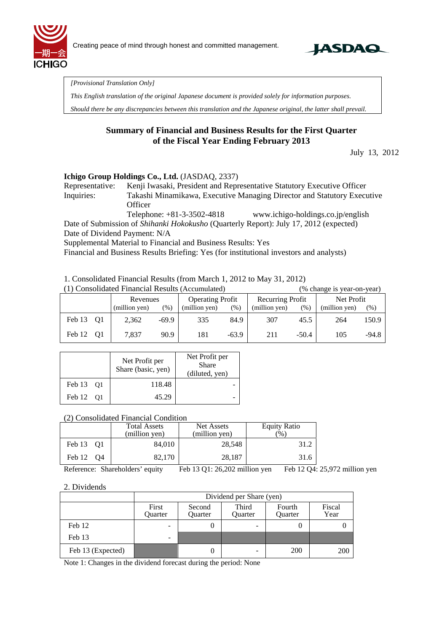



*[Provisional Translation Only]* 

*This English translation of the original Japanese document is provided solely for information purposes.* 

*Should there be any discrepancies between this translation and the Japanese original, the latter shall prevail.*

## **Summary of Financial and Business Results for the First Quarter of the Fiscal Year Ending February 2013**

July 13, 2012

### **Ichigo Group Holdings Co., Ltd.** (JASDAQ, 2337)

Representative: Kenji Iwasaki, President and Representative Statutory Executive Officer Inquiries: Takashi Minamikawa, Executive Managing Director and Statutory Executive **Officer** 

Telephone: +81-3-3502-4818 www.ichigo-holdings.co.jp/english Date of Submission of *Shihanki Hokokusho* (Quarterly Report): July 17, 2012 (expected) Date of Dividend Payment: N/A

Supplemental Material to Financial and Business Results: Yes

Financial and Business Results Briefing: Yes (for institutional investors and analysts)

1. Consolidated Financial Results (from March 1, 2012 to May 31, 2012)

| (1) Consolidated Financial Results (Accumulated) |                                     |               |                  |               |            | (% change is year-on-year) |         |               |         |
|--------------------------------------------------|-------------------------------------|---------------|------------------|---------------|------------|----------------------------|---------|---------------|---------|
|                                                  | <b>Operating Profit</b><br>Revenues |               | Recurring Profit |               | Net Profit |                            |         |               |         |
|                                                  |                                     | (million yen) | $(\% )$          | (million yen) | (% )       | (million yen)              | (% )    | (million yen) | (% )    |
| Feb 13                                           | - 01                                | 2.362         | $-69.9$          | 335           | 84.9       | 307                        | 45.5    | 264           | 150.9   |
| Feb 12                                           | O1                                  | 7.837         | 90.9             | 181           | $-63.9$    | 211                        | $-50.4$ | 105           | $-94.8$ |

|                          | Net Profit per<br>Share (basic, yen) | Net Profit per<br>Share<br>(diluted, yen) |
|--------------------------|--------------------------------------|-------------------------------------------|
| Feb 13 01                | 118.48                               |                                           |
| Feb 12<br>O <sub>1</sub> | 45.29                                |                                           |

### (2) Consolidated Financial Condition

|           | <b>Total Assets</b><br>(million yen) | Net Assets<br>(million yen) | <b>Equity Ratio</b><br>$\%$ |
|-----------|--------------------------------------|-----------------------------|-----------------------------|
| Feb 13 01 | 84,010                               | 28,548                      | 31.2                        |
| Feb 12 04 | 82,170                               | 28,187                      | 31.6                        |

Reference: Shareholders' equity Feb 13 Q1: 26,202 million yen Feb 12 Q4: 25,972 million yen

#### 2. Dividends

|                   | Dividend per Share (yen) |                   |                         |                          |                |  |
|-------------------|--------------------------|-------------------|-------------------------|--------------------------|----------------|--|
|                   | First<br>Quarter         | Second<br>Ouarter | Third<br><b>Ouarter</b> | Fourth<br><b>Ouarter</b> | Fiscal<br>Year |  |
| Feb 12            | -                        |                   | -                       |                          |                |  |
| Feb 13            | -                        |                   |                         |                          |                |  |
| Feb 13 (Expected) |                          |                   | -                       | 200                      | 200            |  |

Note 1: Changes in the dividend forecast during the period: None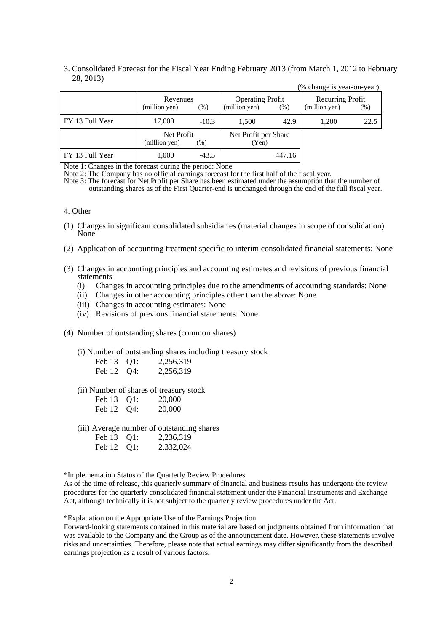#### 3. Consolidated Forecast for the Fiscal Year Ending February 2013 (from March 1, 2012 to February 28, 2013)

|                 |                                   |         |                                          |        | (% change is year-on-year)        |      |
|-----------------|-----------------------------------|---------|------------------------------------------|--------|-----------------------------------|------|
|                 | Revenues<br>(million yen)<br>(% ) |         | <b>Operating Profit</b><br>(million yen) | (% )   | Recurring Profit<br>(million yen) | (% ) |
| FY 13 Full Year | 17,000                            | $-10.3$ | 1,500                                    | 42.9   | 1,200                             | 22.5 |
|                 | Net Profit<br>(million yen)       | (% )    | Net Profit per Share<br>(Yen)            |        |                                   |      |
| FY 13 Full Year | 1,000                             | $-43.5$ |                                          | 447.16 |                                   |      |

Note 1: Changes in the forecast during the period: None

Note 2: The Company has no official earnings forecast for the first half of the fiscal year.

Note 3: The forecast for Net Profit per Share has been estimated under the assumption that the number of outstanding shares as of the First Quarter-end is unchanged through the end of the full fiscal year.

#### 4. Other

- (1) Changes in significant consolidated subsidiaries (material changes in scope of consolidation): None
- (2) Application of accounting treatment specific to interim consolidated financial statements: None
- (3) Changes in accounting principles and accounting estimates and revisions of previous financial statements
	- (i) Changes in accounting principles due to the amendments of accounting standards: None
	- (ii) Changes in other accounting principles other than the above: None
	- (iii) Changes in accounting estimates: None
	- (iv) Revisions of previous financial statements: None
- (4) Number of outstanding shares (common shares)
	- (i) Number of outstanding shares including treasury stock

| Feb 13 Q1: | 2,256,319 |
|------------|-----------|
| Feb 12 Q4: | 2,256,319 |

(ii) Number of shares of treasury stock

| Feb 13 Q1: | 20,000 |
|------------|--------|
| Feb 12 Q4: | 20,000 |

(iii) Average number of outstanding shares

| Feb 13 Q1: | 2,236,319 |
|------------|-----------|
| Feb 12 Q1: | 2,332,024 |

\*Implementation Status of the Quarterly Review Procedures

As of the time of release, this quarterly summary of financial and business results has undergone the review procedures for the quarterly consolidated financial statement under the Financial Instruments and Exchange Act, although technically it is not subject to the quarterly review procedures under the Act.

\*Explanation on the Appropriate Use of the Earnings Projection

Forward-looking statements contained in this material are based on judgments obtained from information that was available to the Company and the Group as of the announcement date. However, these statements involve risks and uncertainties. Therefore, please note that actual earnings may differ significantly from the described earnings projection as a result of various factors.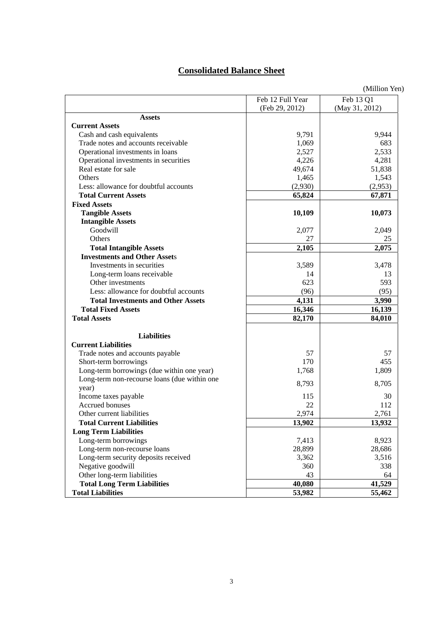## **Consolidated Balance Sheet**

|                                                 |                  | (Million Yen)  |
|-------------------------------------------------|------------------|----------------|
|                                                 | Feb 12 Full Year | Feb 13 Q1      |
|                                                 | (Feb 29, 2012)   | (May 31, 2012) |
| <b>Assets</b>                                   |                  |                |
| <b>Current Assets</b>                           |                  |                |
| Cash and cash equivalents                       | 9,791            | 9,944          |
| Trade notes and accounts receivable             | 1,069            | 683            |
| Operational investments in loans                | 2,527            | 2,533          |
| Operational investments in securities           | 4,226            | 4,281          |
| Real estate for sale                            | 49,674           | 51,838         |
| Others                                          | 1,465            | 1,543          |
| Less: allowance for doubtful accounts           | (2,930)          | (2,953)        |
| <b>Total Current Assets</b>                     | 65,824           | 67,871         |
| <b>Fixed Assets</b>                             |                  |                |
| <b>Tangible Assets</b>                          | 10,109           | 10,073         |
| <b>Intangible Assets</b>                        |                  |                |
| Goodwill                                        | 2,077            | 2,049          |
| Others                                          | 27               | 25             |
| <b>Total Intangible Assets</b>                  | 2,105            | 2,075          |
| <b>Investments and Other Assets</b>             |                  |                |
| Investments in securities                       | 3,589            | 3,478          |
|                                                 | 14               | 13             |
| Long-term loans receivable<br>Other investments | 623              | 593            |
| Less: allowance for doubtful accounts           | (96)             |                |
|                                                 |                  | (95)           |
| <b>Total Investments and Other Assets</b>       | 4,131            | 3,990          |
| <b>Total Fixed Assets</b>                       | 16,346           | 16,139         |
| <b>Total Assets</b>                             | 82,170           | 84,010         |
| <b>Liabilities</b>                              |                  |                |
| <b>Current Liabilities</b>                      |                  |                |
| Trade notes and accounts payable                | 57               | 57             |
| Short-term borrowings                           | 170              | 455            |
| Long-term borrowings (due within one year)      | 1,768            | 1,809          |
| Long-term non-recourse loans (due within one    | 8,793            | 8,705          |
| year)                                           |                  |                |
| Income taxes payable                            | 115              | 30             |
| <b>Accrued bonuses</b>                          | 22               | 112            |
| Other current liabilities                       | 2,974            | 2,761          |
| <b>Total Current Liabilities</b>                | 13,902           | 13,932         |
| <b>Long Term Liabilities</b>                    |                  |                |
| Long-term borrowings                            | 7,413            | 8,923          |
| Long-term non-recourse loans                    | 28,899           | 28,686         |
| Long-term security deposits received            | 3,362            | 3,516          |
| Negative goodwill                               | 360              | 338            |
| Other long-term liabilities                     | 43               | 64             |
| <b>Total Long Term Liabilities</b>              | 40,080           | 41,529         |
| <b>Total Liabilities</b>                        | 53,982           | 55,462         |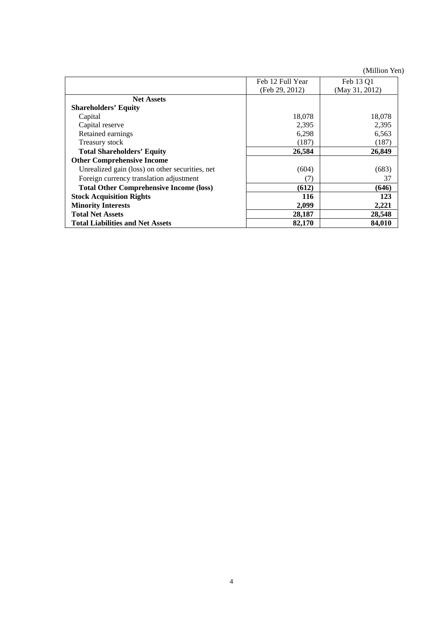(Million Yen)

|                                                 | Feb 12 Full Year | Feb 13 O1      |
|-------------------------------------------------|------------------|----------------|
|                                                 | (Feb 29, 2012)   | (May 31, 2012) |
| <b>Net Assets</b>                               |                  |                |
| <b>Shareholders' Equity</b>                     |                  |                |
| Capital                                         | 18,078           | 18,078         |
| Capital reserve                                 | 2,395            | 2,395          |
| Retained earnings                               | 6,298            | 6,563          |
| Treasury stock                                  | (187)            | (187)          |
| <b>Total Shareholders' Equity</b>               | 26,584           | 26,849         |
| <b>Other Comprehensive Income</b>               |                  |                |
| Unrealized gain (loss) on other securities, net | (604)            | (683)          |
| Foreign currency translation adjustment         | (7)              | 37             |
| <b>Total Other Comprehensive Income (loss)</b>  | (612)            | (646)          |
| <b>Stock Acquisition Rights</b>                 | 116              | 123            |
| <b>Minority Interests</b>                       | 2,099            | 2,221          |
| <b>Total Net Assets</b>                         | 28,187           | 28,548         |
| <b>Total Liabilities and Net Assets</b>         | 82,170           | 84,010         |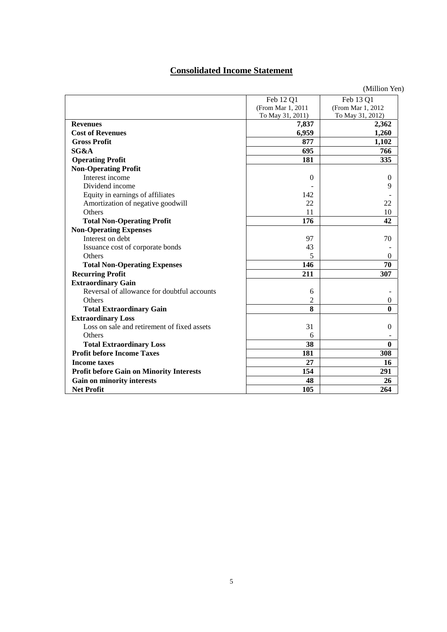# **Consolidated Income Statement**

|                                                 | Feb 12 Q1         | Feb 13 Q1          |
|-------------------------------------------------|-------------------|--------------------|
|                                                 | (From Mar 1, 2011 | (From Mar 1, 2012) |
|                                                 | To May 31, 2011)  | To May 31, 2012)   |
| <b>Revenues</b>                                 | 7,837             | 2,362              |
| <b>Cost of Revenues</b>                         | 6,959             | 1,260              |
| <b>Gross Profit</b>                             | 877               | 1,102              |
| SG&A                                            | 695               | 766                |
| <b>Operating Profit</b>                         | 181               | 335                |
| <b>Non-Operating Profit</b>                     |                   |                    |
| Interest income                                 | $\Omega$          | $\mathbf{0}$       |
| Dividend income                                 |                   | 9                  |
| Equity in earnings of affiliates                | 142               |                    |
| Amortization of negative goodwill               | 22                | 22                 |
| Others                                          | 11                | 10                 |
| <b>Total Non-Operating Profit</b>               | 176               | 42                 |
| <b>Non-Operating Expenses</b>                   |                   |                    |
| Interest on debt                                | 97                | 70                 |
| Issuance cost of corporate bonds                | 43                |                    |
| <b>Others</b>                                   | 5                 | $\Omega$           |
| <b>Total Non-Operating Expenses</b>             | 146               | 70                 |
| <b>Recurring Profit</b>                         | 211               | 307                |
| <b>Extraordinary Gain</b>                       |                   |                    |
| Reversal of allowance for doubtful accounts     | 6                 |                    |
| Others                                          | 2                 | 0                  |
| <b>Total Extraordinary Gain</b>                 | 8                 | 0                  |
| <b>Extraordinary Loss</b>                       |                   |                    |
| Loss on sale and retirement of fixed assets     | 31                | $\boldsymbol{0}$   |
| Others                                          | 6                 |                    |
| <b>Total Extraordinary Loss</b>                 | 38                | $\mathbf{0}$       |
| <b>Profit before Income Taxes</b>               | 181               | 308                |
| <b>Income taxes</b>                             | 27                | 16                 |
| <b>Profit before Gain on Minority Interests</b> | 154               | 291                |
| <b>Gain on minority interests</b>               | 48                | 26                 |
| <b>Net Profit</b>                               | 105               | 264                |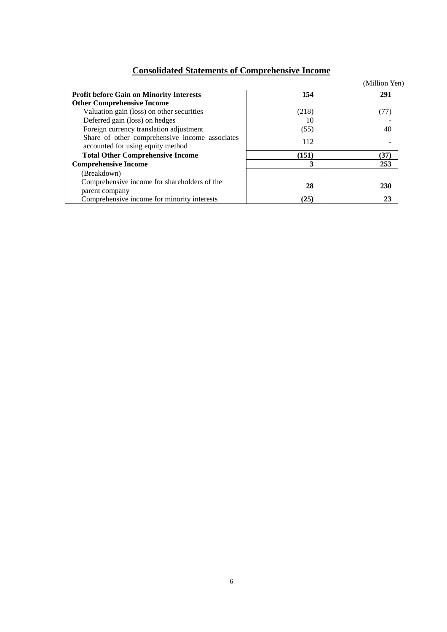# **Consolidated Statements of Comprehensive Income**

|                                                                                     |       | (Million Yen) |
|-------------------------------------------------------------------------------------|-------|---------------|
| <b>Profit before Gain on Minority Interests</b>                                     | 154   | 291           |
| <b>Other Comprehensive Income</b>                                                   |       |               |
| Valuation gain (loss) on other securities                                           | (218) | (77)          |
| Deferred gain (loss) on hedges                                                      | 10    |               |
| Foreign currency translation adjustment                                             | (55)  | 40            |
| Share of other comprehensive income associates<br>accounted for using equity method | 112   |               |
| <b>Total Other Comprehensive Income</b>                                             | (151) | (37)          |
| <b>Comprehensive Income</b>                                                         | 3     | 253           |
| (Breakdown)                                                                         |       |               |
| Comprehensive income for shareholders of the                                        | 28    | <b>230</b>    |
| parent company                                                                      |       |               |
| Comprehensive income for minority interests                                         | (25)  | 23            |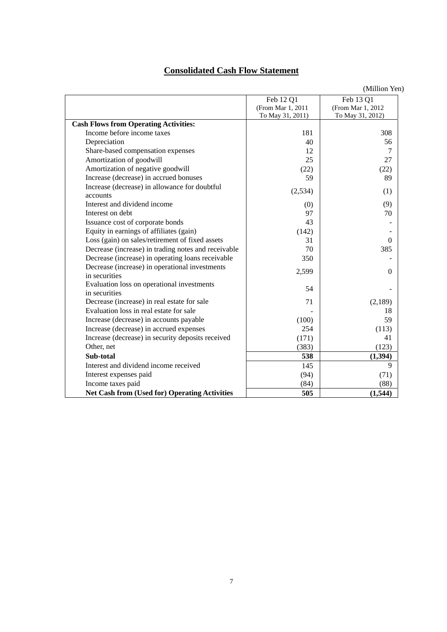# **Consolidated Cash Flow Statement**

(Million Yen)

|                                                      | Feb 12 Q1         | Feb 13 Q1         |
|------------------------------------------------------|-------------------|-------------------|
|                                                      | (From Mar 1, 2011 | (From Mar 1, 2012 |
|                                                      | To May 31, 2011)  | To May 31, 2012)  |
| <b>Cash Flows from Operating Activities:</b>         |                   |                   |
| Income before income taxes                           | 181               | 308               |
| Depreciation                                         | 40                | 56                |
| Share-based compensation expenses                    | 12                | 7                 |
| Amortization of goodwill                             | 25                | 27                |
| Amortization of negative goodwill                    | (22)              | (22)              |
| Increase (decrease) in accrued bonuses               | 59                | 89                |
| Increase (decrease) in allowance for doubtful        | (2,534)           | (1)               |
| accounts                                             |                   |                   |
| Interest and dividend income                         | (0)               | (9)               |
| Interest on debt                                     | 97                | 70                |
| Issuance cost of corporate bonds                     | 43                |                   |
| Equity in earnings of affiliates (gain)              | (142)             |                   |
| Loss (gain) on sales/retirement of fixed assets      | 31                | $\theta$          |
| Decrease (increase) in trading notes and receivable  | 70                | 385               |
| Decrease (increase) in operating loans receivable    | 350               |                   |
| Decrease (increase) in operational investments       | 2,599             | $\theta$          |
| in securities                                        |                   |                   |
| Evaluation loss on operational investments           | 54                |                   |
| in securities                                        |                   |                   |
| Decrease (increase) in real estate for sale          | 71                | (2,189)           |
| Evaluation loss in real estate for sale              |                   | 18                |
| Increase (decrease) in accounts payable              | (100)             | 59                |
| Increase (decrease) in accrued expenses              | 254               | (113)             |
| Increase (decrease) in security deposits received    | (171)             | 41                |
| Other, net                                           | (383)             | (123)             |
| Sub-total                                            | 538               | (1, 394)          |
| Interest and dividend income received                | 145               | 9                 |
| Interest expenses paid                               | (94)              | (71)              |
| Income taxes paid                                    | (84)              | (88)              |
| <b>Net Cash from (Used for) Operating Activities</b> | 505               | (1,544)           |